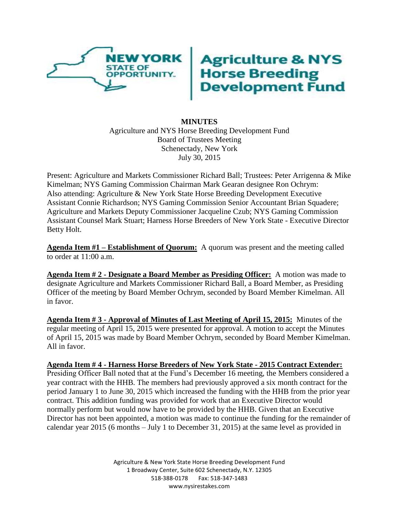

## **Agriculture & NYS<br>Horse Breeding<br>Development Fund**

## **MINUTES** Agriculture and NYS Horse Breeding Development Fund Board of Trustees Meeting Schenectady, New York July 30, 2015

Present: Agriculture and Markets Commissioner Richard Ball; Trustees: Peter Arrigenna & Mike Kimelman; NYS Gaming Commission Chairman Mark Gearan designee Ron Ochrym: Also attending: Agriculture & New York State Horse Breeding Development Executive Assistant Connie Richardson; NYS Gaming Commission Senior Accountant Brian Squadere; Agriculture and Markets Deputy Commissioner Jacqueline Czub; NYS Gaming Commission Assistant Counsel Mark Stuart; Harness Horse Breeders of New York State - Executive Director Betty Holt.

**Agenda Item #1 – Establishment of Quorum:** A quorum was present and the meeting called to order at 11:00 a.m.

**Agenda Item # 2 - Designate a Board Member as Presiding Officer:** A motion was made to designate Agriculture and Markets Commissioner Richard Ball, a Board Member, as Presiding Officer of the meeting by Board Member Ochrym, seconded by Board Member Kimelman. All in favor.

**Agenda Item # 3 - Approval of Minutes of Last Meeting of April 15, 2015:** Minutes of the regular meeting of April 15, 2015 were presented for approval. A motion to accept the Minutes of April 15, 2015 was made by Board Member Ochrym, seconded by Board Member Kimelman. All in favor.

**Agenda Item # 4 - Harness Horse Breeders of New York State - 2015 Contract Extender:** Presiding Officer Ball noted that at the Fund's December 16 meeting, the Members considered a year contract with the HHB. The members had previously approved a six month contract for the period January 1 to June 30, 2015 which increased the funding with the HHB from the prior year contract. This addition funding was provided for work that an Executive Director would normally perform but would now have to be provided by the HHB. Given that an Executive Director has not been appointed, a motion was made to continue the funding for the remainder of calendar year 2015 (6 months – July 1 to December 31, 2015) at the same level as provided in

> Agriculture & New York State Horse Breeding Development Fund 1 Broadway Center, Suite 602 Schenectady, N.Y. 12305 518-388-0178 Fax: 518-347-1483 www.nysirestakes.com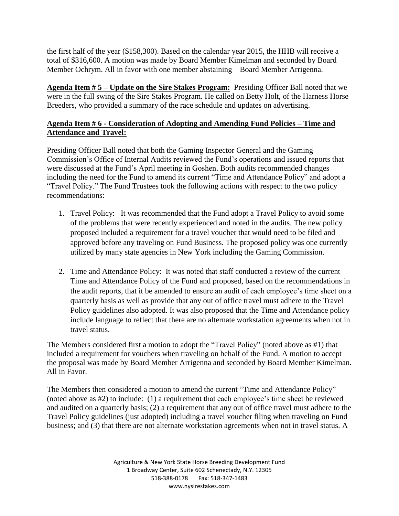the first half of the year (\$158,300). Based on the calendar year 2015, the HHB will receive a total of \$316,600. A motion was made by Board Member Kimelman and seconded by Board Member Ochrym. All in favor with one member abstaining – Board Member Arrigenna.

**Agenda Item # 5 – Update on the Sire Stakes Program:** Presiding Officer Ball noted that we were in the full swing of the Sire Stakes Program. He called on Betty Holt, of the Harness Horse Breeders, who provided a summary of the race schedule and updates on advertising.

## **Agenda Item # 6 - Consideration of Adopting and Amending Fund Policies – Time and Attendance and Travel:**

Presiding Officer Ball noted that both the Gaming Inspector General and the Gaming Commission's Office of Internal Audits reviewed the Fund's operations and issued reports that were discussed at the Fund's April meeting in Goshen. Both audits recommended changes including the need for the Fund to amend its current "Time and Attendance Policy" and adopt a "Travel Policy." The Fund Trustees took the following actions with respect to the two policy recommendations:

- 1. Travel Policy: It was recommended that the Fund adopt a Travel Policy to avoid some of the problems that were recently experienced and noted in the audits. The new policy proposed included a requirement for a travel voucher that would need to be filed and approved before any traveling on Fund Business. The proposed policy was one currently utilized by many state agencies in New York including the Gaming Commission.
- 2. Time and Attendance Policy: It was noted that staff conducted a review of the current Time and Attendance Policy of the Fund and proposed, based on the recommendations in the audit reports, that it be amended to ensure an audit of each employee's time sheet on a quarterly basis as well as provide that any out of office travel must adhere to the Travel Policy guidelines also adopted. It was also proposed that the Time and Attendance policy include language to reflect that there are no alternate workstation agreements when not in travel status.

The Members considered first a motion to adopt the "Travel Policy" (noted above as #1) that included a requirement for vouchers when traveling on behalf of the Fund. A motion to accept the proposal was made by Board Member Arrigenna and seconded by Board Member Kimelman. All in Favor.

The Members then considered a motion to amend the current "Time and Attendance Policy" (noted above as #2) to include: (1) a requirement that each employee's time sheet be reviewed and audited on a quarterly basis; (2) a requirement that any out of office travel must adhere to the Travel Policy guidelines (just adopted) including a travel voucher filing when traveling on Fund business; and (3) that there are not alternate workstation agreements when not in travel status. A

> Agriculture & New York State Horse Breeding Development Fund 1 Broadway Center, Suite 602 Schenectady, N.Y. 12305 518-388-0178 Fax: 518-347-1483 www.nysirestakes.com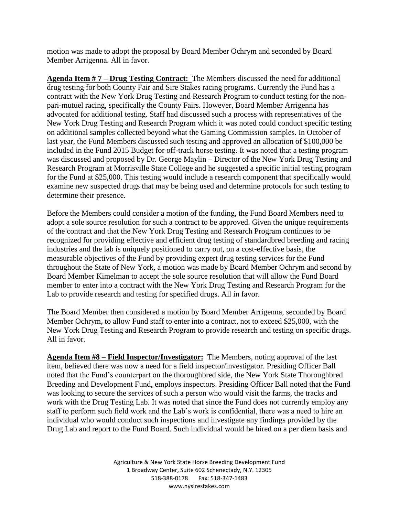motion was made to adopt the proposal by Board Member Ochrym and seconded by Board Member Arrigenna. All in favor.

**Agenda Item # 7 – Drug Testing Contract:** The Members discussed the need for additional drug testing for both County Fair and Sire Stakes racing programs. Currently the Fund has a contract with the New York Drug Testing and Research Program to conduct testing for the nonpari-mutuel racing, specifically the County Fairs. However, Board Member Arrigenna has advocated for additional testing. Staff had discussed such a process with representatives of the New York Drug Testing and Research Program which it was noted could conduct specific testing on additional samples collected beyond what the Gaming Commission samples. In October of last year, the Fund Members discussed such testing and approved an allocation of \$100,000 be included in the Fund 2015 Budget for off-track horse testing. It was noted that a testing program was discussed and proposed by Dr. George Maylin – Director of the New York Drug Testing and Research Program at Morrisville State College and he suggested a specific initial testing program for the Fund at \$25,000. This testing would include a research component that specifically would examine new suspected drugs that may be being used and determine protocols for such testing to determine their presence.

Before the Members could consider a motion of the funding, the Fund Board Members need to adopt a sole source resolution for such a contract to be approved. Given the unique requirements of the contract and that the New York Drug Testing and Research Program continues to be recognized for providing effective and efficient drug testing of standardbred breeding and racing industries and the lab is uniquely positioned to carry out, on a cost-effective basis, the measurable objectives of the Fund by providing expert drug testing services for the Fund throughout the State of New York, a motion was made by Board Member Ochrym and second by Board Member Kimelman to accept the sole source resolution that will allow the Fund Board member to enter into a contract with the New York Drug Testing and Research Program for the Lab to provide research and testing for specified drugs. All in favor.

The Board Member then considered a motion by Board Member Arrigenna, seconded by Board Member Ochrym, to allow Fund staff to enter into a contract, not to exceed \$25,000, with the New York Drug Testing and Research Program to provide research and testing on specific drugs. All in favor.

**Agenda Item #8 – Field Inspector/Investigator:** The Members, noting approval of the last item, believed there was now a need for a field inspector/investigator. Presiding Officer Ball noted that the Fund's counterpart on the thoroughbred side, the New York State Thoroughbred Breeding and Development Fund, employs inspectors. Presiding Officer Ball noted that the Fund was looking to secure the services of such a person who would visit the farms, the tracks and work with the Drug Testing Lab. It was noted that since the Fund does not currently employ any staff to perform such field work and the Lab's work is confidential, there was a need to hire an individual who would conduct such inspections and investigate any findings provided by the Drug Lab and report to the Fund Board. Such individual would be hired on a per diem basis and

> Agriculture & New York State Horse Breeding Development Fund 1 Broadway Center, Suite 602 Schenectady, N.Y. 12305 518-388-0178 Fax: 518-347-1483 www.nysirestakes.com